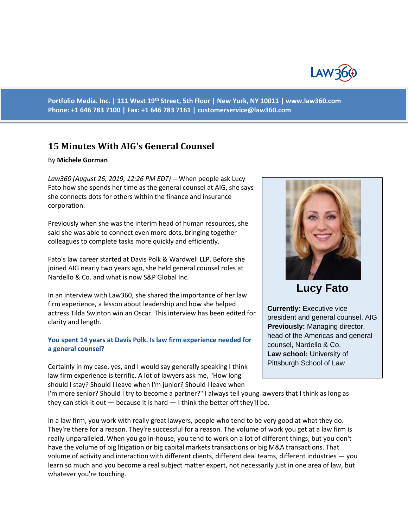

**Portfolio Media. Inc. | 111 West 19th Street, 5th Floor | New York, NY 10011 | www.law360.com Phone: +1 646 783 7100 | Fax: +1 646 783 7161 | [customerservice@law360.com](mailto:customerservice@law360.com)**

# **15 Minutes With AIG's General Counsel**

#### By **Michele Gorman**

*Law360 (August 26, 2019, 12:26 PM EDT)* -- When people ask Lucy Fato how she spends her time as the general counsel at AIG, she says she connects dots for others within the finance and insurance corporation.

Previously when she was the interim head of human resources, she said she was able to connect even more dots, bringing together colleagues to complete tasks more quickly and efficiently.

Fato's law career started at Davis Polk & Wardwell LLP. Before she joined AIG nearly two years ago, she held general counsel roles at Nardello & Co. and what is now S&P Global Inc.

In an interview with Law360, she shared the importance of her law firm experience, a lesson about leadership and how she helped actress Tilda Swinton win an Oscar. This interview has been edited for clarity and length.

#### **You spent 14 years at Davis Polk. Is law firm experience needed for a general counsel?**

Certainly in my case, yes, and I would say generally speaking I think law firm experience is terrific. A lot of lawyers ask me, "How long should I stay? Should I leave when I'm junior? Should I leave when



**Lucy Fato**

**Currently:** Executive vice president and general counsel, AIG **Previously:** Managing director, head of the Americas and general counsel, Nardello & Co. **Law school:** University of Pittsburgh School of Law

I'm more senior? Should I try to become a partner?" I always tell young lawyers that I think as long as they can stick it out  $-$  because it is hard  $-$  I think the better off they'll be.

In a law firm, you work with really great lawyers, people who tend to be very good at what they do. They're there for a reason. They're successful for a reason. The volume of work you get at a law firm is really unparalleled. When you go in-house, you tend to work on a lot of different things, but you don't have the volume of big litigation or big capital markets transactions or big M&A transactions. That volume of activity and interaction with different clients, different deal teams, different industries — you learn so much and you become a real subject matter expert, not necessarily just in one area of law, but whatever you're touching.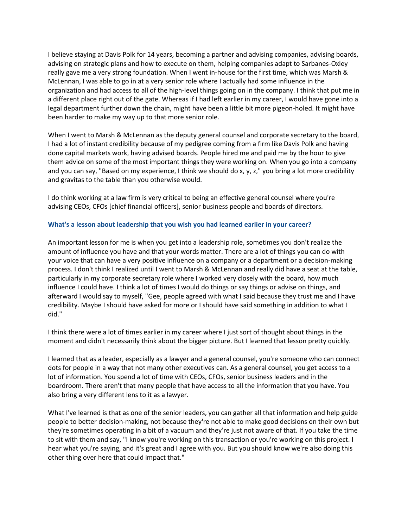I believe staying at Davis Polk for 14 years, becoming a partner and advising companies, advising boards, advising on strategic plans and how to execute on them, helping companies adapt to Sarbanes-Oxley really gave me a very strong foundation. When I went in-house for the first time, which was Marsh & McLennan, I was able to go in at a very senior role where I actually had some influence in the organization and had access to all of the high-level things going on in the company. I think that put me in a different place right out of the gate. Whereas if I had left earlier in my career, I would have gone into a legal department further down the chain, might have been a little bit more pigeon-holed. It might have been harder to make my way up to that more senior role.

When I went to Marsh & McLennan as the deputy general counsel and corporate secretary to the board, I had a lot of instant credibility because of my pedigree coming from a firm like Davis Polk and having done capital markets work, having advised boards. People hired me and paid me by the hour to give them advice on some of the most important things they were working on. When you go into a company and you can say, "Based on my experience, I think we should do x, y, z," you bring a lot more credibility and gravitas to the table than you otherwise would.

I do think working at a law firm is very critical to being an effective general counsel where you're advising CEOs, CFOs [chief financial officers], senior business people and boards of directors.

### **What's a lesson about leadership that you wish you had learned earlier in your career?**

An important lesson for me is when you get into a leadership role, sometimes you don't realize the amount of influence you have and that your words matter. There are a lot of things you can do with your voice that can have a very positive influence on a company or a department or a decision-making process. I don't think I realized until I went to Marsh & McLennan and really did have a seat at the table, particularly in my corporate secretary role where I worked very closely with the board, how much influence I could have. I think a lot of times I would do things or say things or advise on things, and afterward I would say to myself, "Gee, people agreed with what I said because they trust me and I have credibility. Maybe I should have asked for more or I should have said something in addition to what I did."

I think there were a lot of times earlier in my career where I just sort of thought about things in the moment and didn't necessarily think about the bigger picture. But I learned that lesson pretty quickly.

I learned that as a leader, especially as a lawyer and a general counsel, you're someone who can connect dots for people in a way that not many other executives can. As a general counsel, you get access to a lot of information. You spend a lot of time with CEOs, CFOs, senior business leaders and in the boardroom. There aren't that many people that have access to all the information that you have. You also bring a very different lens to it as a lawyer.

What I've learned is that as one of the senior leaders, you can gather all that information and help guide people to better decision-making, not because they're not able to make good decisions on their own but they're sometimes operating in a bit of a vacuum and they're just not aware of that. If you take the time to sit with them and say, "I know you're working on this transaction or you're working on this project. I hear what you're saying, and it's great and I agree with you. But you should know we're also doing this other thing over here that could impact that."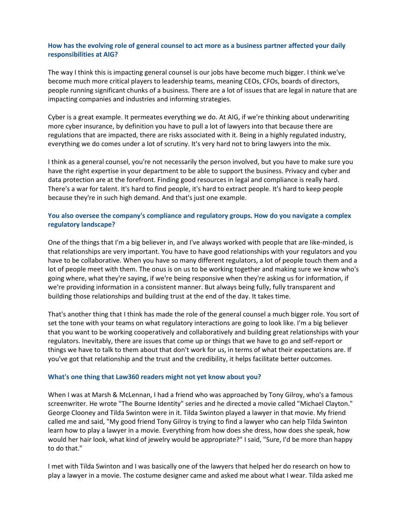# **How has the evolving role of general counsel to act more as a business partner affected your daily responsibilities at AIG?**

The way I think this is impacting general counsel is our jobs have become much bigger. I think we've become much more critical players to leadership teams, meaning CEOs, CFOs, boards of directors, people running significant chunks of a business. There are a lot of issues that are legal in nature that are impacting companies and industries and informing strategies.

Cyber is a great example. It permeates everything we do. At AIG, if we're thinking about underwriting more cyber insurance, by definition you have to pull a lot of lawyers into that because there are regulations that are impacted, there are risks associated with it. Being in a highly regulated industry, everything we do comes under a lot of scrutiny. It's very hard not to bring lawyers into the mix.

I think as a general counsel, you're not necessarily the person involved, but you have to make sure you have the right expertise in your department to be able to support the business. Privacy and cyber and data protection are at the forefront. Finding good resources in legal and compliance is really hard. There's a war for talent. It's hard to find people, it's hard to extract people. It's hard to keep people because they're in such high demand. And that's just one example.

# **You also oversee the company's compliance and regulatory groups. How do you navigate a complex regulatory landscape?**

One of the things that I'm a big believer in, and I've always worked with people that are like-minded, is that relationships are very important. You have to have good relationships with your regulators and you have to be collaborative. When you have so many different regulators, a lot of people touch them and a lot of people meet with them. The onus is on us to be working together and making sure we know who's going where, what they're saying, if we're being responsive when they're asking us for information, if we're providing information in a consistent manner. But always being fully, fully transparent and building those relationships and building trust at the end of the day. It takes time.

That's another thing that I think has made the role of the general counsel a much bigger role. You sort of set the tone with your teams on what regulatory interactions are going to look like. I'm a big believer that you want to be working cooperatively and collaboratively and building great relationships with your regulators. Inevitably, there are issues that come up or things that we have to go and self-report or things we have to talk to them about that don't work for us, in terms of what their expectations are. If you've got that relationship and the trust and the credibility, it helps facilitate better outcomes.

### **What's one thing that Law360 readers might not yet know about you?**

When I was at Marsh & McLennan, I had a friend who was approached by Tony Gilroy, who's a famous screenwriter. He wrote "The Bourne Identity" series and he directed a movie called "Michael Clayton." George Clooney and Tilda Swinton were in it. Tilda Swinton played a lawyer in that movie. My friend called me and said, "My good friend Tony Gilroy is trying to find a lawyer who can help Tilda Swinton learn how to play a lawyer in a movie. Everything from how does she dress, how does she speak, how would her hair look, what kind of jewelry would be appropriate?" I said, "Sure, I'd be more than happy to do that."

I met with Tilda Swinton and I was basically one of the lawyers that helped her do research on how to play a lawyer in a movie. The costume designer came and asked me about what I wear. Tilda asked me